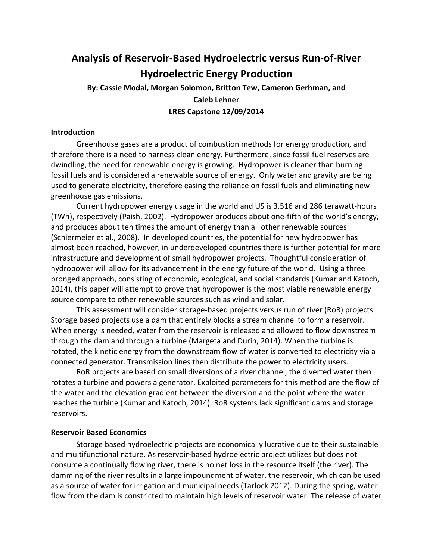# **Analysis of Reservoir‐Based Hydroelectric versus Run‐of‐River Hydroelectric Energy Production**

# **By: Cassie Modal, Morgan Solomon, Britton Tew, Cameron Gerhman, and Caleb Lehner LRES Capstone 12/09/2014**

#### **Introduction**

 Greenhouse gases are a product of combustion methods for energy production, and therefore there is a need to harness clean energy. Furthermore, since fossil fuel reserves are dwindling, the need for renewable energy is growing. Hydropower is cleaner than burning fossil fuels and is considered a renewable source of energy. Only water and gravity are being used to generate electricity, therefore easing the reliance on fossil fuels and eliminating new greenhouse gas emissions.

 Current hydropower energy usage in the world and US is 3,516 and 286 terawatt‐hours (TWh), respectively (Paish, 2002). Hydropower produces about one‐fifth of the world's energy, and produces about ten times the amount of energy than all other renewable sources (Schiermeier et al., 2008). In developed countries, the potential for new hydropower has almost been reached, however, in underdeveloped countries there is further potential for more infrastructure and development of small hydropower projects. Thoughtful consideration of hydropower will allow for its advancement in the energy future of the world. Using a three pronged approach, consisting of economic, ecological, and social standards (Kumar and Katoch, 2014), this paper will attempt to prove that hydropower is the most viable renewable energy source compare to other renewable sources such as wind and solar.

 This assessment will consider storage‐based projects versus run of river (RoR) projects. Storage based projects use a dam that entirely blocks a stream channel to form a reservoir. When energy is needed, water from the reservoir is released and allowed to flow downstream through the dam and through a turbine (Margeta and Durin, 2014). When the turbine is rotated, the kinetic energy from the downstream flow of water is converted to electricity via a connected generator. Transmission lines then distribute the power to electricity users.

 RoR projects are based on small diversions of a river channel, the diverted water then rotates a turbine and powers a generator. Exploited parameters for this method are the flow of the water and the elevation gradient between the diversion and the point where the water reaches the turbine (Kumar and Katoch, 2014). RoR systems lack significant dams and storage reservoirs.

### **Reservoir Based Economics**

 Storage based hydroelectric projects are economically lucrative due to their sustainable and multifunctional nature. As reservoir‐based hydroelectric project utilizes but does not consume a continually flowing river, there is no net loss in the resource itself (the river). The damming of the river results in a large impoundment of water, the reservoir, which can be used as a source of water for irrigation and municipal needs (Tarlock 2012). During the spring, water flow from the dam is constricted to maintain high levels of reservoir water. The release of water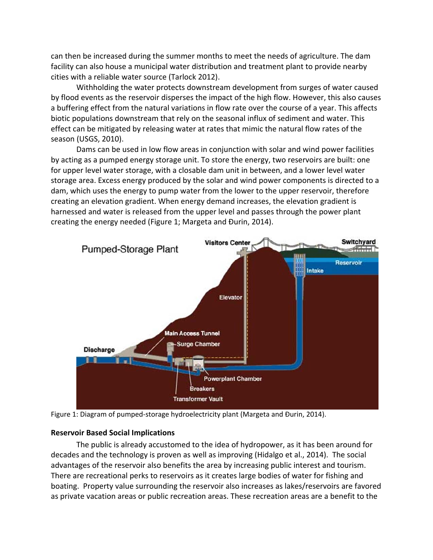can then be increased during the summer months to meet the needs of agriculture. The dam facility can also house a municipal water distribution and treatment plant to provide nearby cities with a reliable water source (Tarlock 2012).

 Withholding the water protects downstream development from surges of water caused by flood events as the reservoir disperses the impact of the high flow. However, this also causes a buffering effect from the natural variations in flow rate over the course of a year. This affects biotic populations downstream that rely on the seasonal influx of sediment and water. This effect can be mitigated by releasing water at rates that mimic the natural flow rates of the season (USGS, 2010).

 Dams can be used in low flow areas in conjunction with solar and wind power facilities by acting as a pumped energy storage unit. To store the energy, two reservoirs are built: one for upper level water storage, with a closable dam unit in between, and a lower level water storage area. Excess energy produced by the solar and wind power components is directed to a dam, which uses the energy to pump water from the lower to the upper reservoir, therefore creating an elevation gradient. When energy demand increases, the elevation gradient is harnessed and water is released from the upper level and passes through the power plant creating the energy needed (Figure 1; Margeta and Đurin, 2014).



Figure 1: Diagram of pumped‐storage hydroelectricity plant (Margeta and Đurin, 2014).

# **Reservoir Based Social Implications**

 The public is already accustomed to the idea of hydropower, as it has been around for decades and the technology is proven as well as improving (Hidalgo et al., 2014). The social advantages of the reservoir also benefits the area by increasing public interest and tourism. There are recreational perks to reservoirs as it creates large bodies of water for fishing and boating. Property value surrounding the reservoir also increases as lakes/reservoirs are favored as private vacation areas or public recreation areas. These recreation areas are a benefit to the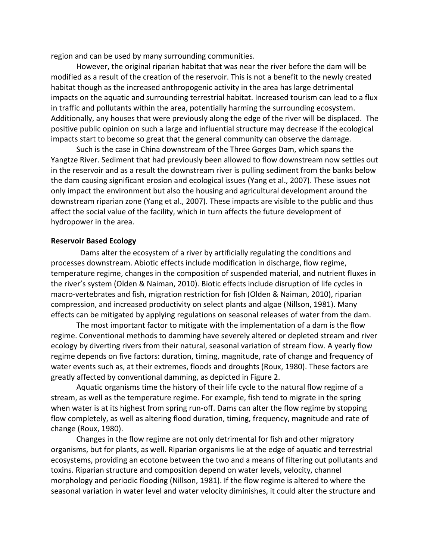region and can be used by many surrounding communities.

 However, the original riparian habitat that was near the river before the dam will be modified as a result of the creation of the reservoir. This is not a benefit to the newly created habitat though as the increased anthropogenic activity in the area has large detrimental impacts on the aquatic and surrounding terrestrial habitat. Increased tourism can lead to a flux in traffic and pollutants within the area, potentially harming the surrounding ecosystem. Additionally, any houses that were previously along the edge of the river will be displaced. The positive public opinion on such a large and influential structure may decrease if the ecological impacts start to become so great that the general community can observe the damage.

 Such is the case in China downstream of the Three Gorges Dam, which spans the Yangtze River. Sediment that had previously been allowed to flow downstream now settles out in the reservoir and as a result the downstream river is pulling sediment from the banks below the dam causing significant erosion and ecological issues (Yang et al., 2007). These issues not only impact the environment but also the housing and agricultural development around the downstream riparian zone (Yang et al., 2007). These impacts are visible to the public and thus affect the social value of the facility, which in turn affects the future development of hydropower in the area.

#### **Reservoir Based Ecology**

 Dams alter the ecosystem of a river by artificially regulating the conditions and processes downstream. Abiotic effects include modification in discharge, flow regime, temperature regime, changes in the composition of suspended material, and nutrient fluxes in the river's system (Olden & Naiman, 2010). Biotic effects include disruption of life cycles in macro‐vertebrates and fish, migration restriction for fish (Olden & Naiman, 2010), riparian compression, and increased productivity on select plants and algae (Nillson, 1981). Many effects can be mitigated by applying regulations on seasonal releases of water from the dam.

 The most important factor to mitigate with the implementation of a dam is the flow regime. Conventional methods to damming have severely altered or depleted stream and river ecology by diverting rivers from their natural, seasonal variation of stream flow. A yearly flow regime depends on five factors: duration, timing, magnitude, rate of change and frequency of water events such as, at their extremes, floods and droughts (Roux, 1980). These factors are greatly affected by conventional damming, as depicted in Figure 2.

 Aquatic organisms time the history of their life cycle to the natural flow regime of a stream, as well as the temperature regime. For example, fish tend to migrate in the spring when water is at its highest from spring run‐off. Dams can alter the flow regime by stopping flow completely, as well as altering flood duration, timing, frequency, magnitude and rate of change (Roux, 1980).

 Changes in the flow regime are not only detrimental for fish and other migratory organisms, but for plants, as well. Riparian organisms lie at the edge of aquatic and terrestrial ecosystems, providing an ecotone between the two and a means of filtering out pollutants and toxins. Riparian structure and composition depend on water levels, velocity, channel morphology and periodic flooding (Nillson, 1981). If the flow regime is altered to where the seasonal variation in water level and water velocity diminishes, it could alter the structure and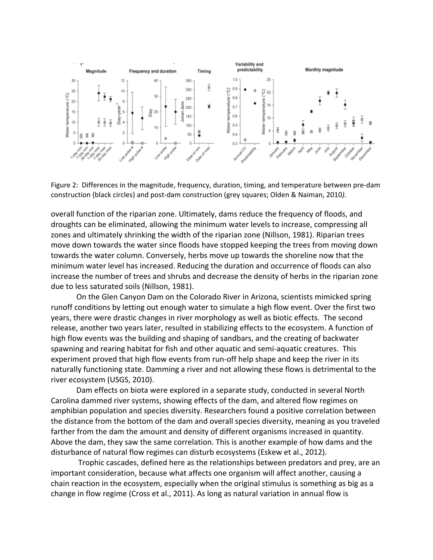

 Figure 2: Differences in the magnitude, frequency, duration, timing, and temperature between pre‐dam construction (black circles) and post‐dam construction (grey squares; Olden & Naiman, 2010*)*.

 overall function of the riparian zone. Ultimately, dams reduce the frequency of floods, and droughts can be eliminated, allowing the minimum water levels to increase, compressing all zones and ultimately shrinking the width of the riparian zone (Nillson, 1981). Riparian trees move down towards the water since floods have stopped keeping the trees from moving down towards the water column. Conversely, herbs move up towards the shoreline now that the minimum water level has increased. Reducing the duration and occurrence of floods can also increase the number of trees and shrubs and decrease the density of herbs in the riparian zone due to less saturated soils (Nillson, 1981).

 On the Glen Canyon Dam on the Colorado River in Arizona, scientists mimicked spring runoff conditions by letting out enough water to simulate a high flow event. Over the first two years, there were drastic changes in river morphology as well as biotic effects. The second release, another two years later, resulted in stabilizing effects to the ecosystem. A function of high flow events was the building and shaping of sandbars, and the creating of backwater spawning and rearing habitat for fish and other aquatic and semi‐aquatic creatures. This experiment proved that high flow events from run‐off help shape and keep the river in its naturally functioning state. Damming a river and not allowing these flows is detrimental to the river ecosystem (USGS, 2010).

 Dam effects on biota were explored in a separate study, conducted in several North Carolina dammed river systems, showing effects of the dam, and altered flow regimes on amphibian population and species diversity. Researchers found a positive correlation between the distance from the bottom of the dam and overall species diversity, meaning as you traveled farther from the dam the amount and density of different organisms increased in quantity. Above the dam, they saw the same correlation. This is another example of how dams and the disturbance of natural flow regimes can disturb ecosystems (Eskew et al., 2012).

 Trophic cascades, defined here as the relationships between predators and prey, are an important consideration, because what affects one organism will affect another, causing a chain reaction in the ecosystem, especially when the original stimulus is something as big as a change in flow regime (Cross et al., 2011). As long as natural variation in annual flow is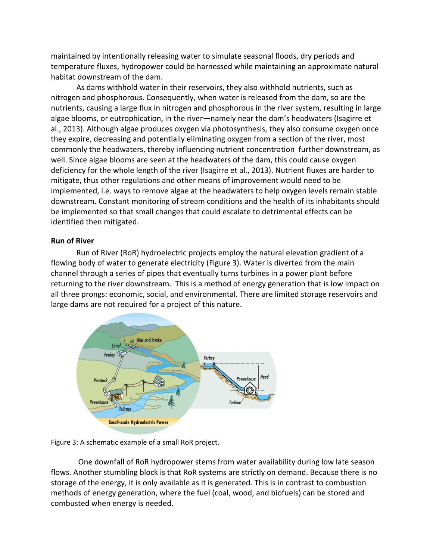maintained by intentionally releasing water to simulate seasonal floods, dry periods and temperature fluxes, hydropower could be harnessed while maintaining an approximate natural habitat downstream of the dam.

 As dams withhold water in their reservoirs, they also withhold nutrients, such as nitrogen and phosphorous. Consequently, when water is released from the dam, so are the nutrients, causing a large flux in nitrogen and phosphorous in the river system, resulting in large algae blooms, or eutrophication, in the river—namely near the dam's headwaters (Isagirre et al., 2013). Although algae produces oxygen via photosynthesis, they also consume oxygen once they expire, decreasing and potentially eliminating oxygen from a section of the river, most commonly the headwaters, thereby influencing nutrient concentration further downstream, as well. Since algae blooms are seen at the headwaters of the dam, this could cause oxygen deficiency for the whole length of the river (Isagirre et al., 2013). Nutrient fluxes are harder to mitigate, thus other regulations and other means of improvement would need to be implemented, i.e. ways to remove algae at the headwaters to help oxygen levels remain stable downstream. Constant monitoring of stream conditions and the health of its inhabitants should be implemented so that small changes that could escalate to detrimental effects can be identified then mitigated.

# **Run of River**

 Run of River (RoR) hydroelectric projects employ the natural elevation gradient of a flowing body of water to generate electricity (Figure 3). Water is diverted from the main channel through a series of pipes that eventually turns turbines in a power plant before returning to the river downstream. This is a method of energy generation that is low impact on all three prongs: economic, social, and environmental. There are limited storage reservoirs and large dams are not required for a project of this nature.



Figure 3: A schematic example of a small RoR project.

 One downfall of RoR hydropower stems from water availability during low late season flows. Another stumbling block is that RoR systems are strictly on demand. Because there is no storage of the energy, it is only available as it is generated. This is in contrast to combustion methods of energy generation, where the fuel (coal, wood, and biofuels) can be stored and combusted when energy is needed.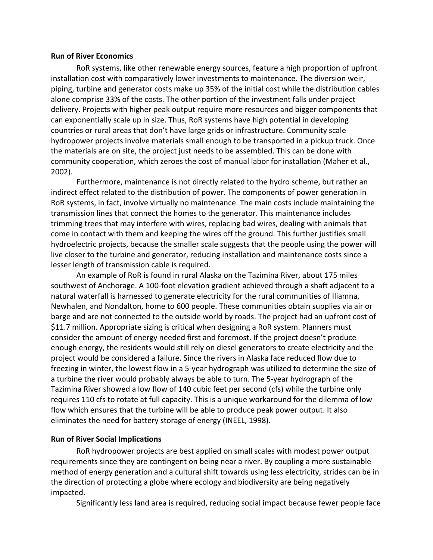#### **Run of River Economics**

 RoR systems, like other renewable energy sources, feature a high proportion of upfront installation cost with comparatively lower investments to maintenance. The diversion weir, piping, turbine and generator costs make up 35% of the initial cost while the distribution cables alone comprise 33% of the costs. The other portion of the investment falls under project delivery. Projects with higher peak output require more resources and bigger components that can exponentially scale up in size. Thus, RoR systems have high potential in developing countries or rural areas that don't have large grids or infrastructure. Community scale hydropower projects involve materials small enough to be transported in a pickup truck. Once the materials are on site, the project just needs to be assembled. This can be done with community cooperation, which zeroes the cost of manual labor for installation (Maher et al., 2002).

 Furthermore, maintenance is not directly related to the hydro scheme, but rather an indirect effect related to the distribution of power. The components of power generation in RoR systems, in fact, involve virtually no maintenance. The main costs include maintaining the transmission lines that connect the homes to the generator. This maintenance includes trimming trees that may interfere with wires, replacing bad wires, dealing with animals that come in contact with them and keeping the wires off the ground. This further justifies small hydroelectric projects, because the smaller scale suggests that the people using the power will live closer to the turbine and generator, reducing installation and maintenance costs since a lesser length of transmission cable is required.

 An example of RoR is found in rural Alaska on the Tazimina River, about 175 miles southwest of Anchorage. A 100‐foot elevation gradient achieved through a shaft adjacent to a natural waterfall is harnessed to generate electricity for the rural communities of Iliamna, Newhalen, and Nondalton, home to 600 people. These communities obtain supplies via air or barge and are not connected to the outside world by roads. The project had an upfront cost of \$11.7 million. Appropriate sizing is critical when designing a RoR system. Planners must consider the amount of energy needed first and foremost. If the project doesn't produce enough energy, the residents would still rely on diesel generators to create electricity and the project would be considered a failure. Since the rivers in Alaska face reduced flow due to freezing in winter, the lowest flow in a 5‐year hydrograph was utilized to determine the size of a turbine the river would probably always be able to turn. The 5‐year hydrograph of the Tazimina River showed a low flow of 140 cubic feet per second (cfs) while the turbine only requires 110 cfs to rotate at full capacity. This is a unique workaround for the dilemma of low flow which ensures that the turbine will be able to produce peak power output. It also eliminates the need for battery storage of energy (INEEL, 1998).

#### **Run of River Social Implications**

 RoR hydropower projects are best applied on small scales with modest power output requirements since they are contingent on being near a river. By coupling a more sustainable method of energy generation and a cultural shift towards using less electricity, strides can be in the direction of protecting a globe where ecology and biodiversity are being negatively impacted.

Significantly less land area is required, reducing social impact because fewer people face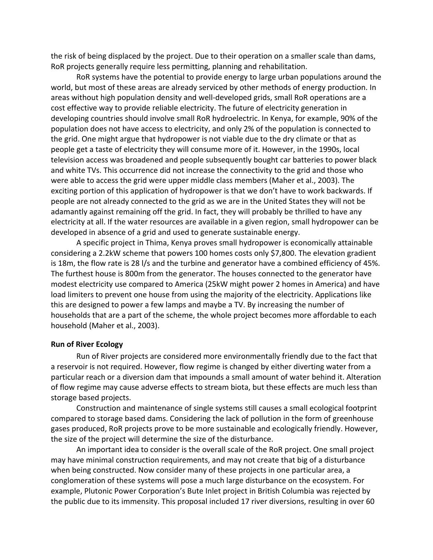the risk of being displaced by the project. Due to their operation on a smaller scale than dams, RoR projects generally require less permitting, planning and rehabilitation.

 RoR systems have the potential to provide energy to large urban populations around the world, but most of these areas are already serviced by other methods of energy production. In areas without high population density and well‐developed grids, small RoR operations are a cost effective way to provide reliable electricity. The future of electricity generation in developing countries should involve small RoR hydroelectric. In Kenya, for example, 90% of the population does not have access to electricity, and only 2% of the population is connected to the grid. One might argue that hydropower is not viable due to the dry climate or that as people get a taste of electricity they will consume more of it. However, in the 1990s, local television access was broadened and people subsequently bought car batteries to power black and white TVs. This occurrence did not increase the connectivity to the grid and those who were able to access the grid were upper middle class members (Maher et al., 2003). The exciting portion of this application of hydropower is that we don't have to work backwards. If people are not already connected to the grid as we are in the United States they will not be adamantly against remaining off the grid. In fact, they will probably be thrilled to have any electricity at all. If the water resources are available in a given region, small hydropower can be developed in absence of a grid and used to generate sustainable energy.

 A specific project in Thima, Kenya proves small hydropower is economically attainable considering a 2.2kW scheme that powers 100 homes costs only \$7,800. The elevation gradient is 18m, the flow rate is 28 l/s and the turbine and generator have a combined efficiency of 45%. The furthest house is 800m from the generator. The houses connected to the generator have modest electricity use compared to America (25kW might power 2 homes in America) and have load limiters to prevent one house from using the majority of the electricity. Applications like this are designed to power a few lamps and maybe a TV. By increasing the number of households that are a part of the scheme, the whole project becomes more affordable to each household (Maher et al., 2003).

#### **Run of River Ecology**

 Run of River projects are considered more environmentally friendly due to the fact that a reservoir is not required. However, flow regime is changed by either diverting water from a particular reach or a diversion dam that impounds a small amount of water behind it. Alteration of flow regime may cause adverse effects to stream biota, but these effects are much less than storage based projects.

 Construction and maintenance of single systems still causes a small ecological footprint compared to storage based dams. Considering the lack of pollution in the form of greenhouse gases produced, RoR projects prove to be more sustainable and ecologically friendly. However, the size of the project will determine the size of the disturbance.

 An important idea to consider is the overall scale of the RoR project. One small project may have minimal construction requirements, and may not create that big of a disturbance when being constructed. Now consider many of these projects in one particular area, a conglomeration of these systems will pose a much large disturbance on the ecosystem. For example, Plutonic Power Corporation's Bute Inlet project in British Columbia was rejected by the public due to its immensity. This proposal included 17 river diversions, resulting in over 60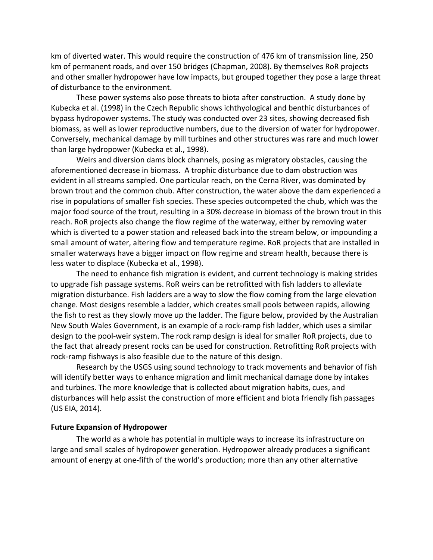km of diverted water. This would require the construction of 476 km of transmission line, 250 km of permanent roads, and over 150 bridges (Chapman, 2008). By themselves RoR projects and other smaller hydropower have low impacts, but grouped together they pose a large threat of disturbance to the environment.

 These power systems also pose threats to biota after construction. A study done by Kubecka et al. (1998) in the Czech Republic shows ichthyological and benthic disturbances of bypass hydropower systems. The study was conducted over 23 sites, showing decreased fish biomass, as well as lower reproductive numbers, due to the diversion of water for hydropower. Conversely, mechanical damage by mill turbines and other structures was rare and much lower than large hydropower (Kubecka et al., 1998).

 Weirs and diversion dams block channels, posing as migratory obstacles, causing the aforementioned decrease in biomass. A trophic disturbance due to dam obstruction was evident in all streams sampled. One particular reach, on the Cerna River, was dominated by brown trout and the common chub. After construction, the water above the dam experienced a rise in populations of smaller fish species. These species outcompeted the chub, which was the major food source of the trout, resulting in a 30% decrease in biomass of the brown trout in this reach. RoR projects also change the flow regime of the waterway, either by removing water which is diverted to a power station and released back into the stream below, or impounding a small amount of water, altering flow and temperature regime. RoR projects that are installed in smaller waterways have a bigger impact on flow regime and stream health, because there is less water to displace (Kubecka et al., 1998).

 The need to enhance fish migration is evident, and current technology is making strides to upgrade fish passage systems. RoR weirs can be retrofitted with fish ladders to alleviate migration disturbance. Fish ladders are a way to slow the flow coming from the large elevation change. Most designs resemble a ladder, which creates small pools between rapids, allowing the fish to rest as they slowly move up the ladder. The figure below, provided by the Australian New South Wales Government, is an example of a rock‐ramp fish ladder, which uses a similar design to the pool‐weir system. The rock ramp design is ideal for smaller RoR projects, due to the fact that already present rocks can be used for construction. Retrofitting RoR projects with rock‐ramp fishways is also feasible due to the nature of this design.

 Research by the USGS using sound technology to track movements and behavior of fish will identify better ways to enhance migration and limit mechanical damage done by intakes and turbines. The more knowledge that is collected about migration habits, cues, and disturbances will help assist the construction of more efficient and biota friendly fish passages (US EIA, 2014).

#### **Future Expansion of Hydropower**

 The world as a whole has potential in multiple ways to increase its infrastructure on large and small scales of hydropower generation. Hydropower already produces a significant amount of energy at one‐fifth of the world's production; more than any other alternative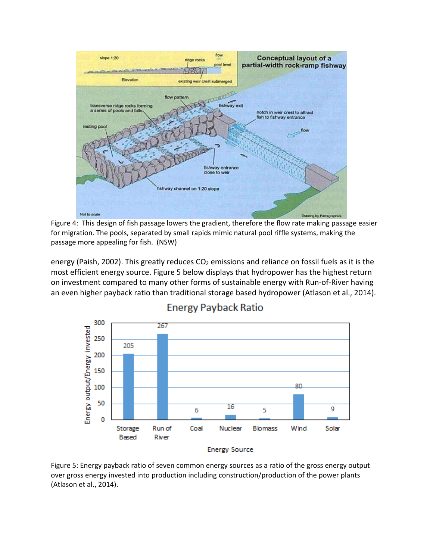

 Figure 4: This design of fish passage lowers the gradient, therefore the flow rate making passage easier for migration. The pools, separated by small rapids mimic natural pool riffle systems, making the passage more appealing for fish. (NSW)

energy (Paish, 2002). This greatly reduces CO<sub>2</sub> emissions and reliance on fossil fuels as it is the most efficient energy source. Figure 5 below displays that hydropower has the highest return on investment compared to many other forms of sustainable energy with Run‐of‐River having an even higher payback ratio than traditional storage based hydropower (Atlason et al., 2014).



# **Energy Payback Ratio**

**Energy Source** 

 Figure 5: Energy payback ratio of seven common energy sources as a ratio of the gross energy output over gross energy invested into production including construction/production of the power plants (Atlason et al., 2014).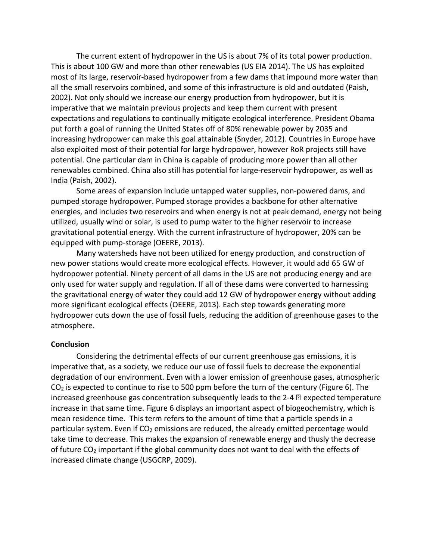The current extent of hydropower in the US is about 7% of its total power production. This is about 100 GW and more than other renewables (US EIA 2014). The US has exploited most of its large, reservoir‐based hydropower from a few dams that impound more water than all the small reservoirs combined, and some of this infrastructure is old and outdated (Paish, 2002). Not only should we increase our energy production from hydropower, but it is imperative that we maintain previous projects and keep them current with present expectations and regulations to continually mitigate ecological interference. President Obama put forth a goal of running the United States off of 80% renewable power by 2035 and increasing hydropower can make this goal attainable (Snyder, 2012). Countries in Europe have also exploited most of their potential for large hydropower, however RoR projects still have potential. One particular dam in China is capable of producing more power than all other renewables combined. China also still has potential for large‐reservoir hydropower, as well as India (Paish, 2002).

 Some areas of expansion include untapped water supplies, non‐powered dams, and pumped storage hydropower. Pumped storage provides a backbone for other alternative energies, and includes two reservoirs and when energy is not at peak demand, energy not being utilized, usually wind or solar, is used to pump water to the higher reservoir to increase gravitational potential energy. With the current infrastructure of hydropower, 20% can be equipped with pump‐storage (OEERE, 2013).

 Many watersheds have not been utilized for energy production, and construction of new power stations would create more ecological effects. However, it would add 65 GW of hydropower potential. Ninety percent of all dams in the US are not producing energy and are only used for water supply and regulation. If all of these dams were converted to harnessing the gravitational energy of water they could add 12 GW of hydropower energy without adding more significant ecological effects (OEERE, 2013). Each step towards generating more hydropower cuts down the use of fossil fuels, reducing the addition of greenhouse gases to the atmosphere.

#### **Conclusion**

 Considering the detrimental effects of our current greenhouse gas emissions, it is imperative that, as a society, we reduce our use of fossil fuels to decrease the exponential degradation of our environment. Even with a lower emission of greenhouse gases, atmospheric  $CO<sub>2</sub>$  is expected to continue to rise to 500 ppm before the turn of the century (Figure 6). The increased greenhouse gas concentration subsequently leads to the 2-4  $\mathbb Z$  expected temperature increase in that same time. Figure 6 displays an important aspect of biogeochemistry, which is mean residence time. This term refers to the amount of time that a particle spends in a particular system. Even if CO<sub>2</sub> emissions are reduced, the already emitted percentage would take time to decrease. This makes the expansion of renewable energy and thusly the decrease of future CO<sub>2</sub> important if the global community does not want to deal with the effects of increased climate change (USGCRP, 2009).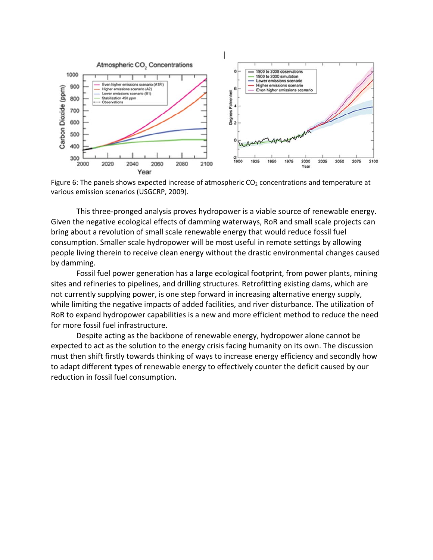

Figure 6: The panels shows expected increase of atmospheric  $CO<sub>2</sub>$  concentrations and temperature at various emission scenarios (USGCRP, 2009).

 This three‐pronged analysis proves hydropower is a viable source of renewable energy. Given the negative ecological effects of damming waterways, RoR and small scale projects can bring about a revolution of small scale renewable energy that would reduce fossil fuel consumption. Smaller scale hydropower will be most useful in remote settings by allowing people living therein to receive clean energy without the drastic environmental changes caused by damming.

 Fossil fuel power generation has a large ecological footprint, from power plants, mining sites and refineries to pipelines, and drilling structures. Retrofitting existing dams, which are not currently supplying power, is one step forward in increasing alternative energy supply, while limiting the negative impacts of added facilities, and river disturbance. The utilization of RoR to expand hydropower capabilities is a new and more efficient method to reduce the need for more fossil fuel infrastructure.

 Despite acting as the backbone of renewable energy, hydropower alone cannot be expected to act as the solution to the energy crisis facing humanity on its own. The discussion must then shift firstly towards thinking of ways to increase energy efficiency and secondly how to adapt different types of renewable energy to effectively counter the deficit caused by our reduction in fossil fuel consumption.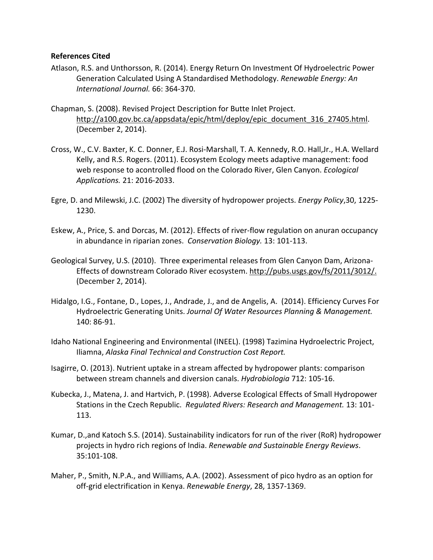### **References Cited**

- Atlason, R.S. and Unthorsson, R. (2014). Energy Return On Investment Of Hydroelectric Power  Generation Calculated Using A Standardised Methodology. *Renewable Energy: An International Journal.* 66: 364‐370.
- Chapman, S. (2008). Revised Project Description for Butte Inlet Project. (December 2, 2014). http://a100.gov.bc.ca/appsdata/epic/html/deploy/epic\_document\_316\_27405.html.
- Cross, W., C.V. Baxter, K. C. Donner, E.J. Rosi‐Marshall, T. A. Kennedy, R.O. Hall,Jr., H.A. Wellard Kelly, and R.S. Rogers. (2011). Ecosystem Ecology meets adaptive management: food web response to acontrolled flood on the Colorado River, Glen Canyon. *Ecological Applications.* 21: 2016‐2033.
- Egre, D. and Milewski, J.C. (2002) The diversity of hydropower projects. *Energy Policy*,30, 1225‐ 1230.
- Eskew, A., Price, S. and Dorcas, M. (2012). Effects of river‐flow regulation on anuran occupancy  in abundance in riparian zones. *Conservation Biology.* 13: 101‐113.
- Geological Survey, U.S. (2010). Three experimental releases from Glen Canyon Dam, Arizona‐ Effects of downstream Colorado River ecosystem. http://pubs.usgs.gov/fs/2011/3012/. (December 2, 2014).
- Hidalgo, I.G., Fontane, D., Lopes, J., Andrade, J., and de Angelis, A. (2014). Efficiency Curves For  Hydroelectric Generating Units. *Journal Of Water Resources Planning & Management.* 140: 86‐91.
- Idaho National Engineering and Environmental (INEEL). (1998) Tazimina Hydroelectric Project,  Iliamna, *Alaska Final Technical and Construction Cost Report.*
- Isagirre, O. (2013). Nutrient uptake in a stream affected by hydropower plants: comparison between stream channels and diversion canals. *Hydrobiologia* 712: 105‐16.
- Kubecka, J., Matena, J. and Hartvich, P. (1998). Adverse Ecological Effects of Small Hydropower  Stations in the Czech Republic. *Regulated Rivers: Research and Management.* 13: 101‐ 113.
- Kumar, D.,and Katoch S.S. (2014). Sustainability indicators for run of the river (RoR) hydropower  projects in hydro rich regions of India. *Renewable and Sustainable Energy Reviews*. 35:101‐108.
- Maher, P., Smith, N.P.A., and Williams, A.A. (2002). Assessment of pico hydro as an option for off‐grid electrification in Kenya. *Renewable Energy*, 28, 1357‐1369.